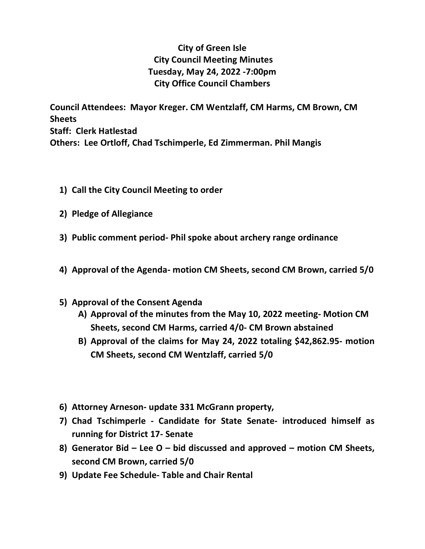## **City of Green Isle City Council Meeting Minutes Tuesday, May 24, 2022 -7:00pm City Office Council Chambers**

**Council Attendees: Mayor Kreger. CM Wentzlaff, CM Harms, CM Brown, CM Sheets Staff: Clerk Hatlestad Others: Lee Ortloff, Chad Tschimperle, Ed Zimmerman. Phil Mangis**

- **1) Call the City Council Meeting to order**
- **2) Pledge of Allegiance**
- **3) Public comment period- Phil spoke about archery range ordinance**
- **4) Approval of the Agenda- motion CM Sheets, second CM Brown, carried 5/0**
- **5) Approval of the Consent Agenda**
	- **A) Approval of the minutes from the May 10, 2022 meeting- Motion CM Sheets, second CM Harms, carried 4/0- CM Brown abstained**
	- **B) Approval of the claims for May 24, 2022 totaling \$42,862.95- motion CM Sheets, second CM Wentzlaff, carried 5/0**
- **6) Attorney Arneson- update 331 McGrann property,**
- **7) Chad Tschimperle - Candidate for State Senate- introduced himself as running for District 17- Senate**
- **8) Generator Bid – Lee O – bid discussed and approved – motion CM Sheets, second CM Brown, carried 5/0**
- **9) Update Fee Schedule- Table and Chair Rental**